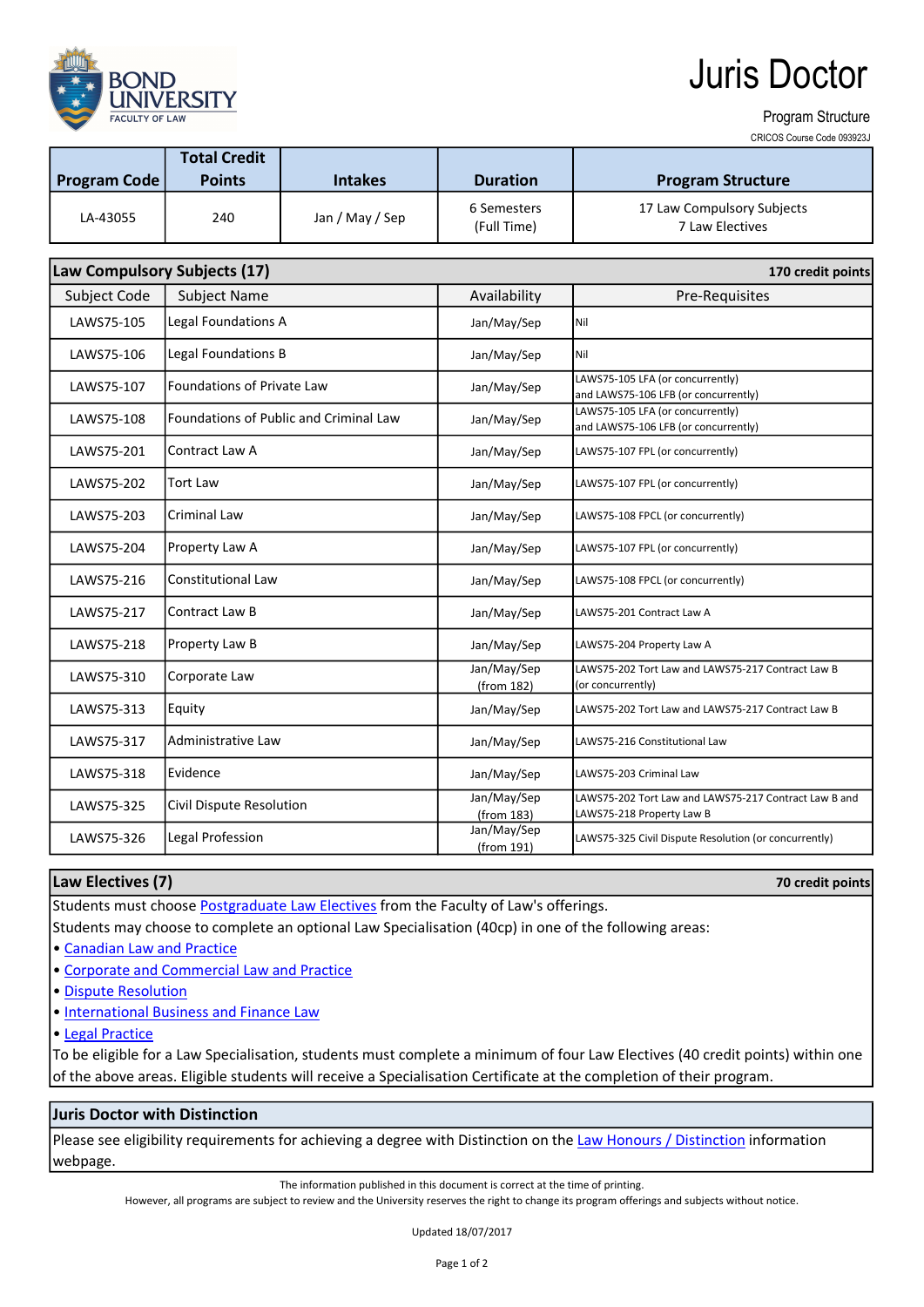**FACULTY OF LAY** 

# Juris Doctor

#### Program Structure

CRICOS Course Code 093923J

| <b>Program Code</b>                               | <b>Total Credit</b><br><b>Points</b> | <b>Intakes</b>  | <b>Duration</b>            | <b>Program Structure</b>                      |  |  |  |
|---------------------------------------------------|--------------------------------------|-----------------|----------------------------|-----------------------------------------------|--|--|--|
| LA-43055                                          | 240                                  | Jan / May / Sep | 6 Semesters<br>(Full Time) | 17 Law Compulsory Subjects<br>7 Law Electives |  |  |  |
| Law Compulsory Subjects (17)<br>170 credit points |                                      |                 |                            |                                               |  |  |  |

| Subject Code | <b>Subject Name</b>                    | Availability              | Pre-Requisites                                                                     |
|--------------|----------------------------------------|---------------------------|------------------------------------------------------------------------------------|
| LAWS75-105   | Legal Foundations A                    | Jan/May/Sep               | Nil                                                                                |
| LAWS75-106   | Legal Foundations B                    | Jan/May/Sep               | Nil                                                                                |
| LAWS75-107   | <b>Foundations of Private Law</b>      | Jan/May/Sep               | LAWS75-105 LFA (or concurrently)<br>and LAWS75-106 LFB (or concurrently)           |
| LAWS75-108   | Foundations of Public and Criminal Law | Jan/May/Sep               | LAWS75-105 LFA (or concurrently)<br>and LAWS75-106 LFB (or concurrently)           |
| LAWS75-201   | Contract Law A                         | Jan/May/Sep               | LAWS75-107 FPL (or concurrently)                                                   |
| LAWS75-202   | Tort Law                               | Jan/May/Sep               | LAWS75-107 FPL (or concurrently)                                                   |
| LAWS75-203   | <b>Criminal Law</b>                    | Jan/May/Sep               | LAWS75-108 FPCL (or concurrently)                                                  |
| LAWS75-204   | Property Law A                         | Jan/May/Sep               | LAWS75-107 FPL (or concurrently)                                                   |
| LAWS75-216   | <b>Constitutional Law</b>              | Jan/May/Sep               | LAWS75-108 FPCL (or concurrently)                                                  |
| LAWS75-217   | Contract Law B                         | Jan/May/Sep               | LAWS75-201 Contract Law A                                                          |
| LAWS75-218   | Property Law B                         | Jan/May/Sep               | LAWS75-204 Property Law A                                                          |
| LAWS75-310   | Corporate Law                          | Jan/May/Sep<br>(from 182) | LAWS75-202 Tort Law and LAWS75-217 Contract Law B<br>(or concurrently)             |
| LAWS75-313   | Equity                                 | Jan/May/Sep               | LAWS75-202 Tort Law and LAWS75-217 Contract Law B                                  |
| LAWS75-317   | <b>Administrative Law</b>              | Jan/May/Sep               | LAWS75-216 Constitutional Law                                                      |
| LAWS75-318   | Evidence                               | Jan/May/Sep               | LAWS75-203 Criminal Law                                                            |
| LAWS75-325   | Civil Dispute Resolution               | Jan/May/Sep<br>(from 183) | LAWS75-202 Tort Law and LAWS75-217 Contract Law B and<br>LAWS75-218 Property Law B |
| LAWS75-326   | Legal Profession                       | Jan/May/Sep<br>(from 191) | LAWS75-325 Civil Dispute Resolution (or concurrently)                              |

### Law Electives (7)

70 credit points

Students must choose Postgraduate Law Electives from the Faculty of Law's offerings.

Students may choose to complete an optional Law Specialisation (40cp) in one of the following areas:

• Canadian Law and Practice

- Corporate and Commercial Law and Practice
- Dispute Resolution
- International Business and Finance Law

## • Legal Practice

To be eligible for a Law Specialisation, students must complete a minimum of four Law Electives (40 credit points) within one of the above areas. Eligible students will receive a Specialisation Certificate at the completion of their program.

## Juris Doctor with Distinction

Please see eligibility requirements for achieving a degree with Distinction on the Law Honours / Distinction information webpage.

The information published in this document is correct at the time of printing.

However, all programs are subject to review and the University reserves the right to change its program offerings and subjects without notice.